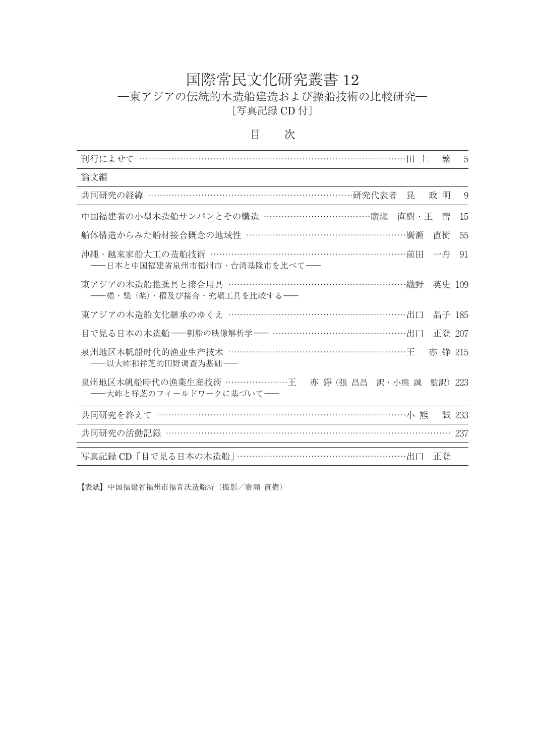## 国際常民文化研究叢書 12 ―東アジアの伝統的木造船建造および操船技術の比較研究― [写真記録 CD 付]

| 刊行によせて                                                                      | 繁       | 5     |
|-----------------------------------------------------------------------------|---------|-------|
| 論文編                                                                         |         |       |
| 共同研究の経緯 ……………………………………………………………研究代表者 昆                                      | 政 明     | 9     |
| 中国福建省の小型木造船サンパンとその構造 ………………………………廣瀬<br>直樹・王                                 | 蕾       | 15    |
| 船体構造からみた船材接合概念の地域性 ……………………………………………………廣瀬                                   | 直樹      | 55    |
| 沖縄・越來家船大工の造船技術 …………………………………………………………前田<br>-- 日本と中国福建省泉州市福州市・台湾基隆市を比べて-     | 一舟      | 91    |
| 東アジアの木造船推進具と接合用具 ……………………………………………………織野<br>――櫓・槳(桨)・櫂及び接合・充塡工具を比較する――       | 英史 109  |       |
| 東アジアの木造船文化継承のゆくえ ……………………………………………………出口                                     | 晶子 185  |       |
| 目で見る日本の木造船––刳船の映像解析学–– ………………………………………出口                                    | 正登 207  |       |
| 泉州地区木帆船时代的渔业生产技术 ………………………………………………………王<br>——以大岞和祥芝的田野调查为基础——               | 亦 铮 215 |       |
| 泉州地区木帆船時代の漁業生産技術 …………………王 - 亦 錚 (張 昌昌 訳・小熊 誠 監訳)<br>――大岞と祥芝のフィールドワークに基づいて―― |         | 223   |
| 共同研究を終えて ……………………………………………………………………………………小 熊                                |         | 誠 233 |
| 共同研究の活動記録 ……………………………………………………………………………… 237                                |         |       |
| 写真記録 CD「目で見る日本の木造船」………………………………………………出口                                     | 正登      |       |

## 目 次

【表紙】中国福建省福州市福青沃造船所(撮影/廣瀬 直樹)